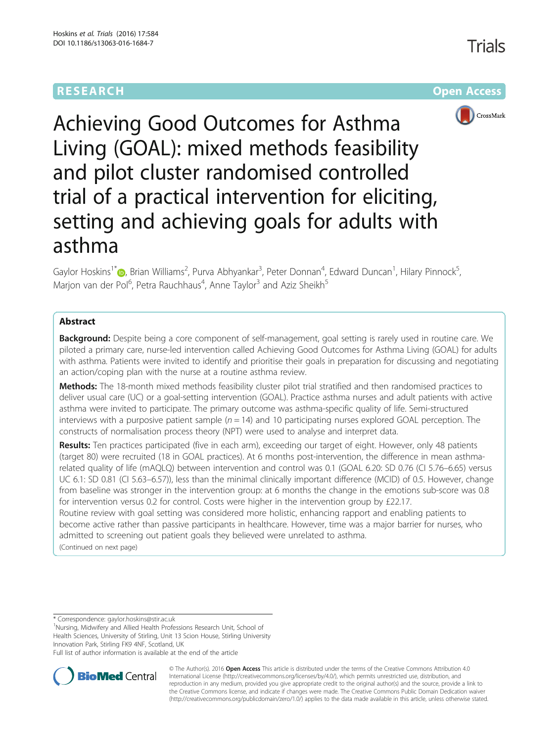Trials





# Achieving Good Outcomes for Asthma Living (GOAL): mixed methods feasibility and pilot cluster randomised controlled trial of a practical intervention for eliciting, setting and achieving goals for adults with asthma

Gaylor Hoskins<sup>1\*</sup>�[,](http://orcid.org/0000-0002-8393-2342) Brian Williams<sup>2</sup>, Purva Abhyankar<sup>3</sup>, Peter Donnan<sup>4</sup>, Edward Duncan<sup>1</sup>, Hilary Pinnock<sup>5</sup> , Marjon van der Pol<sup>6</sup>, Petra Rauchhaus<sup>4</sup>, Anne Taylor<sup>3</sup> and Aziz Sheikh<sup>5</sup>

# Abstract

**Background:** Despite being a core component of self-management, goal setting is rarely used in routine care. We piloted a primary care, nurse-led intervention called Achieving Good Outcomes for Asthma Living (GOAL) for adults with asthma. Patients were invited to identify and prioritise their goals in preparation for discussing and negotiating an action/coping plan with the nurse at a routine asthma review.

Methods: The 18-month mixed methods feasibility cluster pilot trial stratified and then randomised practices to deliver usual care (UC) or a goal-setting intervention (GOAL). Practice asthma nurses and adult patients with active asthma were invited to participate. The primary outcome was asthma-specific quality of life. Semi-structured interviews with a purposive patient sample  $(n = 14)$  and 10 participating nurses explored GOAL perception. The constructs of normalisation process theory (NPT) were used to analyse and interpret data.

Results: Ten practices participated (five in each arm), exceeding our target of eight. However, only 48 patients (target 80) were recruited (18 in GOAL practices). At 6 months post-intervention, the difference in mean asthmarelated quality of life (mAQLQ) between intervention and control was 0.1 (GOAL 6.20: SD 0.76 (CI 5.76–6.65) versus UC 6.1: SD 0.81 (CI 5.63–6.57)), less than the minimal clinically important difference (MCID) of 0.5. However, change from baseline was stronger in the intervention group: at 6 months the change in the emotions sub-score was 0.8 for intervention versus 0.2 for control. Costs were higher in the intervention group by £22.17. Routine review with goal setting was considered more holistic, enhancing rapport and enabling patients to become active rather than passive participants in healthcare. However, time was a major barrier for nurses, who admitted to screening out patient goals they believed were unrelated to asthma.

(Continued on next page)

\* Correspondence: [gaylor.hoskins@stir.ac.uk](mailto:gaylor.hoskins@stir.ac.uk) <sup>1</sup>

<sup>1</sup>Nursing, Midwifery and Allied Health Professions Research Unit, School of Health Sciences, University of Stirling, Unit 13 Scion House, Stirling University Innovation Park, Stirling FK9 4NF, Scotland, UK Full list of author information is available at the end of the article



© The Author(s). 2016 **Open Access** This article is distributed under the terms of the Creative Commons Attribution 4.0 International License [\(http://creativecommons.org/licenses/by/4.0/](http://creativecommons.org/licenses/by/4.0/)), which permits unrestricted use, distribution, and reproduction in any medium, provided you give appropriate credit to the original author(s) and the source, provide a link to the Creative Commons license, and indicate if changes were made. The Creative Commons Public Domain Dedication waiver [\(http://creativecommons.org/publicdomain/zero/1.0/](http://creativecommons.org/publicdomain/zero/1.0/)) applies to the data made available in this article, unless otherwise stated.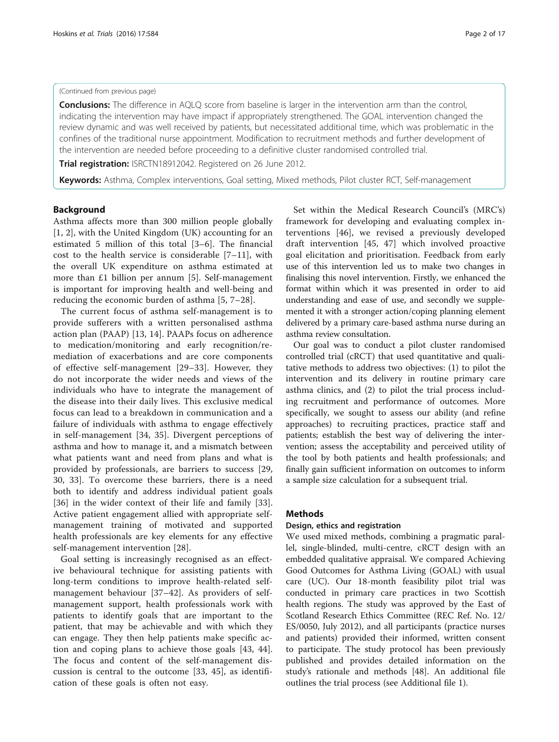# (Continued from previous page)

**Conclusions:** The difference in AQLQ score from baseline is larger in the intervention arm than the control, indicating the intervention may have impact if appropriately strengthened. The GOAL intervention changed the review dynamic and was well received by patients, but necessitated additional time, which was problematic in the confines of the traditional nurse appointment. Modification to recruitment methods and further development of the intervention are needed before proceeding to a definitive cluster randomised controlled trial.

Trial registration: [ISRCTN18912042](http://www.isrctn.com/ISRCTN18912042). Registered on 26 June 2012.

Keywords: Asthma, Complex interventions, Goal setting, Mixed methods, Pilot cluster RCT, Self-management

# Background

Asthma affects more than 300 million people globally [[1, 2](#page-14-0)], with the United Kingdom (UK) accounting for an estimated 5 million of this total [\[3](#page-14-0)–[6](#page-14-0)]. The financial cost to the health service is considerable [[7](#page-14-0)–[11\]](#page-14-0), with the overall UK expenditure on asthma estimated at more than £1 billion per annum [[5\]](#page-14-0). Self-management is important for improving health and well-being and reducing the economic burden of asthma [\[5](#page-14-0), [7](#page-14-0)–[28](#page-15-0)].

The current focus of asthma self-management is to provide sufferers with a written personalised asthma action plan (PAAP) [[13](#page-15-0), [14](#page-15-0)]. PAAPs focus on adherence to medication/monitoring and early recognition/remediation of exacerbations and are core components of effective self-management [[29](#page-15-0)–[33](#page-15-0)]. However, they do not incorporate the wider needs and views of the individuals who have to integrate the management of the disease into their daily lives. This exclusive medical focus can lead to a breakdown in communication and a failure of individuals with asthma to engage effectively in self-management [\[34](#page-15-0), [35\]](#page-15-0). Divergent perceptions of asthma and how to manage it, and a mismatch between what patients want and need from plans and what is provided by professionals, are barriers to success [\[29](#page-15-0), [30, 33](#page-15-0)]. To overcome these barriers, there is a need both to identify and address individual patient goals [[36\]](#page-15-0) in the wider context of their life and family [\[33](#page-15-0)]. Active patient engagement allied with appropriate selfmanagement training of motivated and supported health professionals are key elements for any effective self-management intervention [\[28](#page-15-0)].

Goal setting is increasingly recognised as an effective behavioural technique for assisting patients with long-term conditions to improve health-related selfmanagement behaviour [[37](#page-15-0)–[42](#page-15-0)]. As providers of selfmanagement support, health professionals work with patients to identify goals that are important to the patient, that may be achievable and with which they can engage. They then help patients make specific action and coping plans to achieve those goals [[43, 44](#page-15-0)]. The focus and content of the self-management discussion is central to the outcome [[33, 45](#page-15-0)], as identification of these goals is often not easy.

Set within the Medical Research Council's (MRC's) framework for developing and evaluating complex interventions [\[46\]](#page-15-0), we revised a previously developed draft intervention [[45](#page-15-0), [47](#page-15-0)] which involved proactive goal elicitation and prioritisation. Feedback from early use of this intervention led us to make two changes in finalising this novel intervention. Firstly, we enhanced the format within which it was presented in order to aid understanding and ease of use, and secondly we supplemented it with a stronger action/coping planning element delivered by a primary care-based asthma nurse during an asthma review consultation.

Our goal was to conduct a pilot cluster randomised controlled trial (cRCT) that used quantitative and qualitative methods to address two objectives: (1) to pilot the intervention and its delivery in routine primary care asthma clinics, and (2) to pilot the trial process including recruitment and performance of outcomes. More specifically, we sought to assess our ability (and refine approaches) to recruiting practices, practice staff and patients; establish the best way of delivering the intervention; assess the acceptability and perceived utility of the tool by both patients and health professionals; and finally gain sufficient information on outcomes to inform a sample size calculation for a subsequent trial.

# Methods

# Design, ethics and registration

We used mixed methods, combining a pragmatic parallel, single-blinded, multi-centre, cRCT design with an embedded qualitative appraisal. We compared Achieving Good Outcomes for Asthma Living (GOAL) with usual care (UC). Our 18-month feasibility pilot trial was conducted in primary care practices in two Scottish health regions. The study was approved by the East of Scotland Research Ethics Committee (REC Ref. No. 12/ ES/0050, July 2012), and all participants (practice nurses and patients) provided their informed, written consent to participate. The study protocol has been previously published and provides detailed information on the study's rationale and methods [\[48\]](#page-15-0). An additional file outlines the trial process (see Additional file [1](#page-13-0)).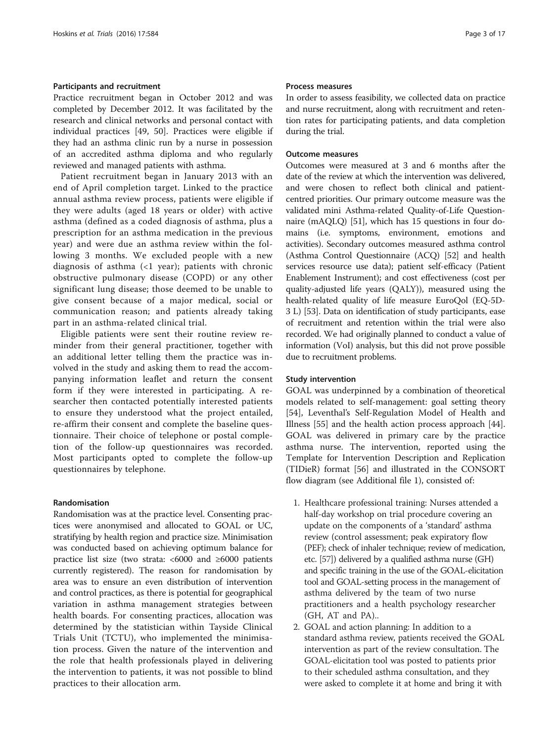# Participants and recruitment

Practice recruitment began in October 2012 and was completed by December 2012. It was facilitated by the research and clinical networks and personal contact with individual practices [[49, 50\]](#page-15-0). Practices were eligible if they had an asthma clinic run by a nurse in possession of an accredited asthma diploma and who regularly reviewed and managed patients with asthma.

Patient recruitment began in January 2013 with an end of April completion target. Linked to the practice annual asthma review process, patients were eligible if they were adults (aged 18 years or older) with active asthma (defined as a coded diagnosis of asthma, plus a prescription for an asthma medication in the previous year) and were due an asthma review within the following 3 months. We excluded people with a new diagnosis of asthma  $\left($ <1 year); patients with chronic obstructive pulmonary disease (COPD) or any other significant lung disease; those deemed to be unable to give consent because of a major medical, social or communication reason; and patients already taking part in an asthma-related clinical trial.

Eligible patients were sent their routine review reminder from their general practitioner, together with an additional letter telling them the practice was involved in the study and asking them to read the accompanying information leaflet and return the consent form if they were interested in participating. A researcher then contacted potentially interested patients to ensure they understood what the project entailed, re-affirm their consent and complete the baseline questionnaire. Their choice of telephone or postal completion of the follow-up questionnaires was recorded. Most participants opted to complete the follow-up questionnaires by telephone.

# Randomisation

Randomisation was at the practice level. Consenting practices were anonymised and allocated to GOAL or UC, stratifying by health region and practice size. Minimisation was conducted based on achieving optimum balance for practice list size (two strata: <6000 and ≥6000 patients currently registered). The reason for randomisation by area was to ensure an even distribution of intervention and control practices, as there is potential for geographical variation in asthma management strategies between health boards. For consenting practices, allocation was determined by the statistician within Tayside Clinical Trials Unit (TCTU), who implemented the minimisation process. Given the nature of the intervention and the role that health professionals played in delivering the intervention to patients, it was not possible to blind practices to their allocation arm.

### Process measures

In order to assess feasibility, we collected data on practice and nurse recruitment, along with recruitment and retention rates for participating patients, and data completion during the trial.

# Outcome measures

Outcomes were measured at 3 and 6 months after the date of the review at which the intervention was delivered, and were chosen to reflect both clinical and patientcentred priorities. Our primary outcome measure was the validated mini Asthma-related Quality-of-Life Questionnaire (mAQLQ) [\[51](#page-15-0)], which has 15 questions in four domains (i.e. symptoms, environment, emotions and activities). Secondary outcomes measured asthma control (Asthma Control Questionnaire (ACQ) [[52](#page-15-0)] and health services resource use data); patient self-efficacy (Patient Enablement Instrument); and cost effectiveness (cost per quality-adjusted life years (QALY)), measured using the health-related quality of life measure EuroQol (EQ-5D-3 L) [[53](#page-15-0)]. Data on identification of study participants, ease of recruitment and retention within the trial were also recorded. We had originally planned to conduct a value of information (VoI) analysis, but this did not prove possible due to recruitment problems.

# Study intervention

GOAL was underpinned by a combination of theoretical models related to self-management: goal setting theory [[54\]](#page-15-0), Leventhal's Self-Regulation Model of Health and Illness [\[55\]](#page-15-0) and the health action process approach [\[44](#page-15-0)]. GOAL was delivered in primary care by the practice asthma nurse. The intervention, reported using the Template for Intervention Description and Replication (TIDieR) format [\[56](#page-15-0)] and illustrated in the CONSORT flow diagram (see Additional file [1](#page-13-0)), consisted of:

- 1. Healthcare professional training: Nurses attended a half-day workshop on trial procedure covering an update on the components of a 'standard' asthma review (control assessment; peak expiratory flow (PEF); check of inhaler technique; review of medication, etc. [\[57](#page-15-0)]) delivered by a qualified asthma nurse (GH) and specific training in the use of the GOAL-elicitation tool and GOAL-setting process in the management of asthma delivered by the team of two nurse practitioners and a health psychology researcher (GH, AT and PA)..
- 2. GOAL and action planning: In addition to a standard asthma review, patients received the GOAL intervention as part of the review consultation. The GOAL-elicitation tool was posted to patients prior to their scheduled asthma consultation, and they were asked to complete it at home and bring it with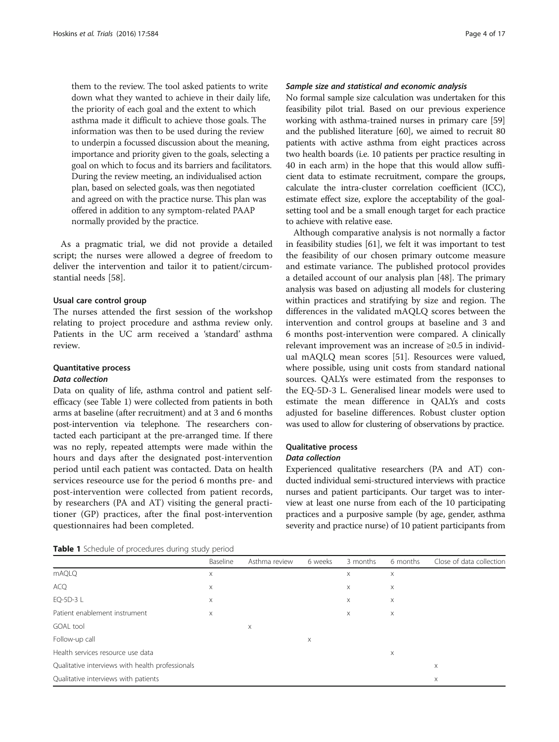them to the review. The tool asked patients to write down what they wanted to achieve in their daily life, the priority of each goal and the extent to which asthma made it difficult to achieve those goals. The information was then to be used during the review to underpin a focussed discussion about the meaning, importance and priority given to the goals, selecting a goal on which to focus and its barriers and facilitators. During the review meeting, an individualised action plan, based on selected goals, was then negotiated and agreed on with the practice nurse. This plan was offered in addition to any symptom-related PAAP normally provided by the practice.

As a pragmatic trial, we did not provide a detailed script; the nurses were allowed a degree of freedom to deliver the intervention and tailor it to patient/circumstantial needs [\[58](#page-16-0)].

# Usual care control group

The nurses attended the first session of the workshop relating to project procedure and asthma review only. Patients in the UC arm received a 'standard' asthma review.

# Quantitative process

# Data collection

Data on quality of life, asthma control and patient selfefficacy (see Table 1) were collected from patients in both arms at baseline (after recruitment) and at 3 and 6 months post-intervention via telephone. The researchers contacted each participant at the pre-arranged time. If there was no reply, repeated attempts were made within the hours and days after the designated post-intervention period until each patient was contacted. Data on health services reseource use for the period 6 months pre- and post-intervention were collected from patient records, by researchers (PA and AT) visiting the general practitioner (GP) practices, after the final post-intervention questionnaires had been completed.

# Sample size and statistical and economic analysis

No formal sample size calculation was undertaken for this feasibility pilot trial. Based on our previous experience working with asthma-trained nurses in primary care [[59](#page-16-0)] and the published literature [\[60\]](#page-16-0), we aimed to recruit 80 patients with active asthma from eight practices across two health boards (i.e. 10 patients per practice resulting in 40 in each arm) in the hope that this would allow sufficient data to estimate recruitment, compare the groups, calculate the intra-cluster correlation coefficient (ICC), estimate effect size, explore the acceptability of the goalsetting tool and be a small enough target for each practice to achieve with relative ease.

Although comparative analysis is not normally a factor in feasibility studies [\[61](#page-16-0)], we felt it was important to test the feasibility of our chosen primary outcome measure and estimate variance. The published protocol provides a detailed account of our analysis plan [[48\]](#page-15-0). The primary analysis was based on adjusting all models for clustering within practices and stratifying by size and region. The differences in the validated mAQLQ scores between the intervention and control groups at baseline and 3 and 6 months post-intervention were compared. A clinically relevant improvement was an increase of ≥0.5 in individual mAQLQ mean scores [\[51](#page-15-0)]. Resources were valued, where possible, using unit costs from standard national sources. QALYs were estimated from the responses to the EQ-5D-3 L. Generalised linear models were used to estimate the mean difference in QALYs and costs adjusted for baseline differences. Robust cluster option was used to allow for clustering of observations by practice.

# Qualitative process

# Data collection

Experienced qualitative researchers (PA and AT) conducted individual semi-structured interviews with practice nurses and patient participants. Our target was to interview at least one nurse from each of the 10 participating practices and a purposive sample (by age, gender, asthma severity and practice nurse) of 10 patient participants from

| Table 1 Schedule of procedures during study period |  |
|----------------------------------------------------|--|
|                                                    |  |

|                                                  | Baseline | Asthma review | 6 weeks | 3 months | 6 months | Close of data collection |
|--------------------------------------------------|----------|---------------|---------|----------|----------|--------------------------|
| mAQLQ                                            | X        |               |         | X        | X        |                          |
| <b>ACQ</b>                                       | X        |               |         | X        | X        |                          |
| EQ-5D-3 L                                        | X        |               |         | X        | X        |                          |
| Patient enablement instrument                    | X        |               |         | X        | X        |                          |
| GOAL tool                                        |          | X             |         |          |          |                          |
| Follow-up call                                   |          |               | X       |          |          |                          |
| Health services resource use data                |          |               |         |          | X        |                          |
| Qualitative interviews with health professionals |          |               |         |          |          | X                        |
| Qualitative interviews with patients             |          |               |         |          |          | X                        |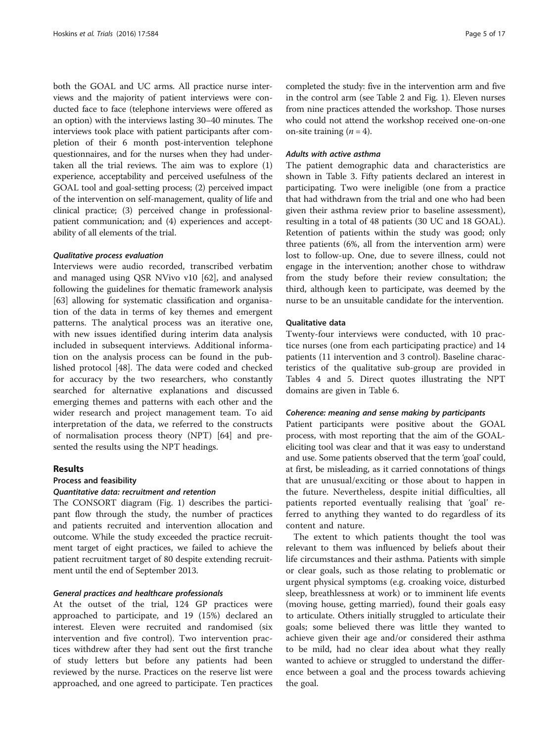both the GOAL and UC arms. All practice nurse interviews and the majority of patient interviews were conducted face to face (telephone interviews were offered as an option) with the interviews lasting 30–40 minutes. The interviews took place with patient participants after completion of their 6 month post-intervention telephone questionnaires, and for the nurses when they had undertaken all the trial reviews. The aim was to explore (1) experience, acceptability and perceived usefulness of the GOAL tool and goal-setting process; (2) perceived impact of the intervention on self-management, quality of life and clinical practice; (3) perceived change in professionalpatient communication; and (4) experiences and acceptability of all elements of the trial.

# Qualitative process evaluation

Interviews were audio recorded, transcribed verbatim and managed using QSR NVivo v10 [[62](#page-16-0)], and analysed following the guidelines for thematic framework analysis [[63\]](#page-16-0) allowing for systematic classification and organisation of the data in terms of key themes and emergent patterns. The analytical process was an iterative one, with new issues identified during interim data analysis included in subsequent interviews. Additional information on the analysis process can be found in the published protocol [\[48\]](#page-15-0). The data were coded and checked for accuracy by the two researchers, who constantly searched for alternative explanations and discussed emerging themes and patterns with each other and the wider research and project management team. To aid interpretation of the data, we referred to the constructs of normalisation process theory (NPT) [[64](#page-16-0)] and presented the results using the NPT headings.

### Results

# Process and feasibility

# Quantitative data: recruitment and retention

The CONSORT diagram (Fig. [1\)](#page-5-0) describes the participant flow through the study, the number of practices and patients recruited and intervention allocation and outcome. While the study exceeded the practice recruitment target of eight practices, we failed to achieve the patient recruitment target of 80 despite extending recruitment until the end of September 2013.

# General practices and healthcare professionals

At the outset of the trial, 124 GP practices were approached to participate, and 19 (15%) declared an interest. Eleven were recruited and randomised (six intervention and five control). Two intervention practices withdrew after they had sent out the first tranche of study letters but before any patients had been reviewed by the nurse. Practices on the reserve list were approached, and one agreed to participate. Ten practices completed the study: five in the intervention arm and five in the control arm (see Table [2](#page-5-0) and Fig. [1\)](#page-5-0). Eleven nurses from nine practices attended the workshop. Those nurses who could not attend the workshop received one-on-one on-site training  $(n = 4)$ .

# Adults with active asthma

The patient demographic data and characteristics are shown in Table [3.](#page-6-0) Fifty patients declared an interest in participating. Two were ineligible (one from a practice that had withdrawn from the trial and one who had been given their asthma review prior to baseline assessment), resulting in a total of 48 patients (30 UC and 18 GOAL). Retention of patients within the study was good; only three patients (6%, all from the intervention arm) were lost to follow-up. One, due to severe illness, could not engage in the intervention; another chose to withdraw from the study before their review consultation; the third, although keen to participate, was deemed by the nurse to be an unsuitable candidate for the intervention.

# Qualitative data

Twenty-four interviews were conducted, with 10 practice nurses (one from each participating practice) and 14 patients (11 intervention and 3 control). Baseline characteristics of the qualitative sub-group are provided in Tables [4](#page-7-0) and [5.](#page-7-0) Direct quotes illustrating the NPT domains are given in Table [6](#page-8-0).

### Coherence: meaning and sense making by participants

Patient participants were positive about the GOAL process, with most reporting that the aim of the GOALeliciting tool was clear and that it was easy to understand and use. Some patients observed that the term 'goal' could, at first, be misleading, as it carried connotations of things that are unusual/exciting or those about to happen in the future. Nevertheless, despite initial difficulties, all patients reported eventually realising that 'goal' referred to anything they wanted to do regardless of its content and nature.

The extent to which patients thought the tool was relevant to them was influenced by beliefs about their life circumstances and their asthma. Patients with simple or clear goals, such as those relating to problematic or urgent physical symptoms (e.g. croaking voice, disturbed sleep, breathlessness at work) or to imminent life events (moving house, getting married), found their goals easy to articulate. Others initially struggled to articulate their goals; some believed there was little they wanted to achieve given their age and/or considered their asthma to be mild, had no clear idea about what they really wanted to achieve or struggled to understand the difference between a goal and the process towards achieving the goal.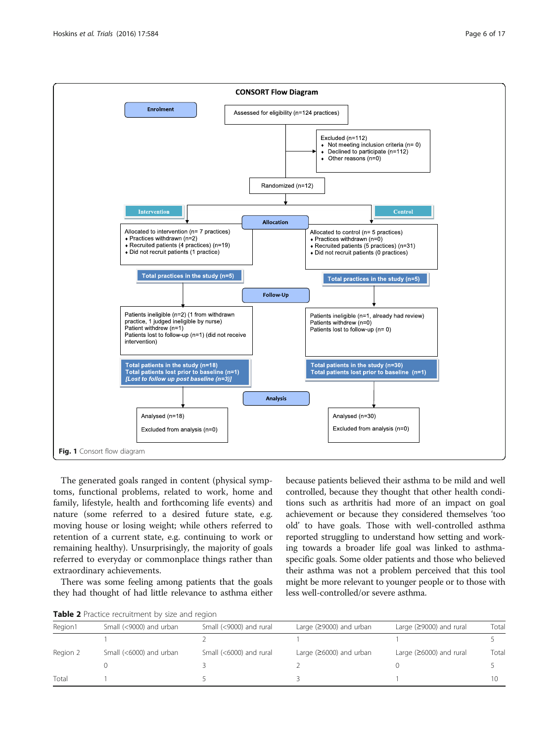<span id="page-5-0"></span>

The generated goals ranged in content (physical symptoms, functional problems, related to work, home and family, lifestyle, health and forthcoming life events) and nature (some referred to a desired future state, e.g. moving house or losing weight; while others referred to retention of a current state, e.g. continuing to work or remaining healthy). Unsurprisingly, the majority of goals referred to everyday or commonplace things rather than extraordinary achievements.

There was some feeling among patients that the goals they had thought of had little relevance to asthma either

because patients believed their asthma to be mild and well controlled, because they thought that other health conditions such as arthritis had more of an impact on goal achievement or because they considered themselves 'too old' to have goals. Those with well-controlled asthma reported struggling to understand how setting and working towards a broader life goal was linked to asthmaspecific goals. Some older patients and those who believed their asthma was not a problem perceived that this tool might be more relevant to younger people or to those with less well-controlled/or severe asthma.

Table 2 Practice recruitment by size and region

| Region1  | Small (<9000) and urban | Small (<9000) and rural | Large ( $\geq$ 9000) and urban | Large $(29000)$ and rural | Total |
|----------|-------------------------|-------------------------|--------------------------------|---------------------------|-------|
|          |                         |                         |                                |                           |       |
| Region 2 | Small (<6000) and urban | Small (<6000) and rural | Large ( $\geq$ 6000) and urban | Large $(26000)$ and rural | Total |
|          |                         |                         |                                |                           |       |
| Total    |                         |                         |                                |                           | 10    |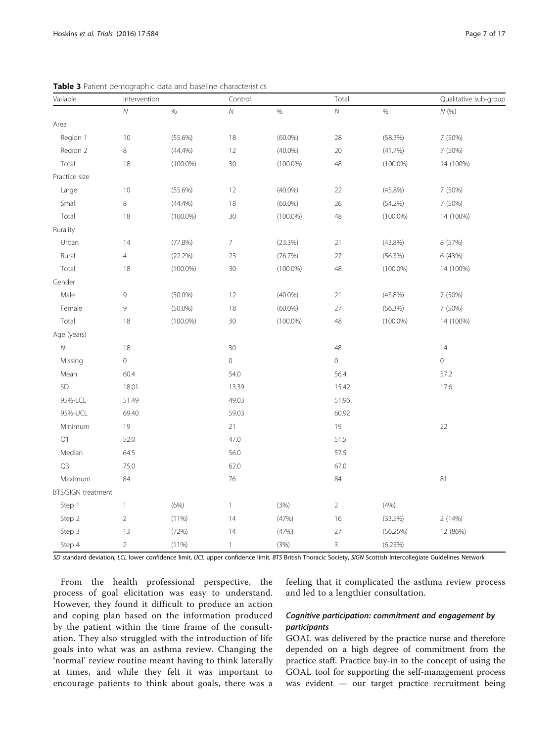| Variable           | Intervention        |             | Control        |             | Total               |             | Qualitative sub-group |
|--------------------|---------------------|-------------|----------------|-------------|---------------------|-------------|-----------------------|
|                    | $\,N$               | $\%$        | $\bar N$       | $\%$        | $\bar{\cal N}$      | $\%$        | N(%)                  |
| Area               |                     |             |                |             |                     |             |                       |
| Region 1           | 10                  | $(55.6\%)$  | 18             | $(60.0\%)$  | 28                  | (58.3%)     | 7 (50%)               |
| Region 2           | 8                   | (44.4%)     | 12             | $(40.0\%)$  | 20                  | (41.7%)     | 7 (50%)               |
| Total              | 18                  | $(100.0\%)$ | 30             | $(100.0\%)$ | 48                  | $(100.0\%)$ | 14 (100%)             |
| Practice size      |                     |             |                |             |                     |             |                       |
| Large              | 10                  | $(55.6\%)$  | 12             | $(40.0\%)$  | 22                  | $(45.8\%)$  | 7 (50%)               |
| Small              | 8                   | $(44.4\%)$  | 18             | $(60.0\%)$  | 26                  | (54.2%)     | 7 (50%)               |
| Total              | 18                  | $(100.0\%)$ | 30             | $(100.0\%)$ | 48                  | $(100.0\%)$ | 14 (100%)             |
| Rurality           |                     |             |                |             |                     |             |                       |
| Urban              | 14                  | (77.8%)     | $\overline{7}$ | (23.3%)     | 21                  | $(43.8\%)$  | 8 (57%)               |
| Rural              | $\overline{4}$      | (22.2%)     | 23             | (76.7%)     | 27                  | (56.3%)     | 6 (43%)               |
| Total              | 18                  | $(100.0\%)$ | 30             | $(100.0\%)$ | 48                  | $(100.0\%)$ | 14 (100%)             |
| Gender             |                     |             |                |             |                     |             |                       |
| Male               | 9                   | $(50.0\%)$  | 12             | $(40.0\%)$  | 21                  | $(43.8\%)$  | 7 (50%)               |
| Female             | 9                   | $(50.0\%)$  | 18             | $(60.0\%)$  | 27                  | (56.3%)     | 7 (50%)               |
| Total              | 18                  | $(100.0\%)$ | 30             | $(100.0\%)$ | 48                  | $(100.0\%)$ | 14 (100%)             |
| Age (years)        |                     |             |                |             |                     |             |                       |
| ${\cal N}$         | 18                  |             | 30             |             | 48                  |             | 14                    |
| Missing            | $\mathsf{O}\xspace$ |             | $\mathbf 0$    |             | $\mathsf{O}\xspace$ |             | $\mathbf 0$           |
| Mean               | 60.4                |             | 54.0           |             | 56.4                |             | 57.2                  |
| SD                 | 18.01               |             | 13.39          |             | 15.42               |             | 17.6                  |
| 95%-LCL            | 51.49               |             | 49.03          |             | 51.96               |             |                       |
| 95%-UCL            | 69.40               |             | 59.03          |             | 60.92               |             |                       |
| Minimum            | 19                  |             | 21             |             | 19                  |             | $22\,$                |
| Q1                 | 52.0                |             | 47.0           |             | 51.5                |             |                       |
| Median             | 64.5                |             | 56.0           |             | 57.5                |             |                       |
| $\mathsf{Q}3$      | 75.0                |             | 62.0           |             | 67.0                |             |                       |
| Maximum            | 84                  |             | 76             |             | 84                  |             | 81                    |
| BTS/SIGN treatment |                     |             |                |             |                     |             |                       |
| Step 1             | $\mathbf{1}$        | (6% )       | $\mathbf{1}$   | (3%)        | $\overline{c}$      | (4% )       |                       |
| Step 2             | $\overline{2}$      | $(11\%)$    | 14             | (47%)       | 16                  | (33.5%)     | 2 (14%)               |
| Step 3             | 13                  | (72%)       | 14             | (47%)       | 27                  | (56.25%)    | 12 (86%)              |
| Step 4             | $\overline{c}$      | (11%)       | $\mathbf{1}$   | (3%)        | $\mathsf{3}$        | (6.25%)     |                       |

<span id="page-6-0"></span>Table 3 Patient demographic data and baseline characteristics

SD standard deviation, LCL lower confidence limit, UCL upper confidence limit, BTS British Thoracic Society, SIGN Scottish Intercollegiate Guidelines Network

From the health professional perspective, the process of goal elicitation was easy to understand. However, they found it difficult to produce an action and coping plan based on the information produced by the patient within the time frame of the consultation. They also struggled with the introduction of life goals into what was an asthma review. Changing the 'normal' review routine meant having to think laterally at times, and while they felt it was important to encourage patients to think about goals, there was a

feeling that it complicated the asthma review process and led to a lengthier consultation.

# Cognitive participation: commitment and engagement by participants

GOAL was delivered by the practice nurse and therefore depended on a high degree of commitment from the practice staff. Practice buy-in to the concept of using the GOAL tool for supporting the self-management process was evident — our target practice recruitment being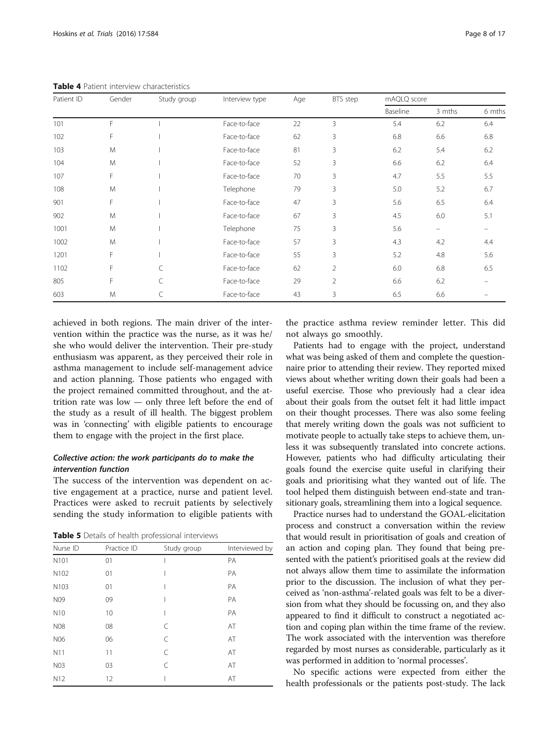| Patient ID | Gender | Study group | Interview type | Age | BTS step       | mAQLQ score |        |        |
|------------|--------|-------------|----------------|-----|----------------|-------------|--------|--------|
|            |        |             |                |     |                | Baseline    | 3 mths | 6 mths |
| 101        | F      |             | Face-to-face   | 22  | 3              | 5.4         | 6.2    | 6.4    |
| 102        | F      |             | Face-to-face   | 62  | 3              | 6.8         | 6.6    | 6.8    |
| 103        | M      |             | Face-to-face   | 81  | 3              | 6.2         | 5.4    | 6.2    |
| 104        | M      |             | Face-to-face   | 52  | 3              | 6.6         | 6.2    | 6.4    |
| 107        | F.     |             | Face-to-face   | 70  | 3              | 4.7         | 5.5    | 5.5    |
| 108        | M      |             | Telephone      | 79  | 3              | 5.0         | 5.2    | 6.7    |
| 901        | F.     |             | Face-to-face   | 47  | 3              | 5.6         | 6.5    | 6.4    |
| 902        | M      |             | Face-to-face   | 67  | 3              | 4.5         | 6.0    | 5.1    |
| 1001       | M      |             | Telephone      | 75  | 3              | 5.6         |        |        |
| 1002       | M      |             | Face-to-face   | 57  | 3              | 4.3         | 4.2    | 4.4    |
| 1201       | F      |             | Face-to-face   | 55  | 3              | 5.2         | 4.8    | 5.6    |
| 1102       | F      |             | Face-to-face   | 62  | $\overline{2}$ | 6.0         | 6.8    | 6.5    |
| 805        | F      |             | Face-to-face   | 29  | $\overline{2}$ | 6.6         | 6.2    |        |
| 603        | M      |             | Face-to-face   | 43  | 3              | 6.5         | 6.6    |        |

<span id="page-7-0"></span>Table 4 Patient interview characteristics

achieved in both regions. The main driver of the intervention within the practice was the nurse, as it was he/ she who would deliver the intervention. Their pre-study enthusiasm was apparent, as they perceived their role in asthma management to include self-management advice and action planning. Those patients who engaged with the project remained committed throughout, and the attrition rate was low — only three left before the end of the study as a result of ill health. The biggest problem was in 'connecting' with eligible patients to encourage them to engage with the project in the first place.

# Collective action: the work participants do to make the intervention function

The success of the intervention was dependent on active engagement at a practice, nurse and patient level. Practices were asked to recruit patients by selectively sending the study information to eligible patients with

Table 5 Details of health professional interviews

| Nurse ID          | Practice ID | Study group | Interviewed by |
|-------------------|-------------|-------------|----------------|
| N <sub>10</sub> 1 | 01          |             | PA             |
| N102              | 01          |             | PA             |
| N103              | 01          |             | PA             |
| N09               | 09          |             | PA             |
| N10               | 10          |             | PA             |
| <b>N08</b>        | 08          | C           | AT             |
| N06               | 06          | C           | AT             |
| N11               | 11          | $\subset$   | AT             |
| N03               | 03          | C           | AT             |
| N12               | 12          |             | AT             |

the practice asthma review reminder letter. This did not always go smoothly.

Patients had to engage with the project, understand what was being asked of them and complete the questionnaire prior to attending their review. They reported mixed views about whether writing down their goals had been a useful exercise. Those who previously had a clear idea about their goals from the outset felt it had little impact on their thought processes. There was also some feeling that merely writing down the goals was not sufficient to motivate people to actually take steps to achieve them, unless it was subsequently translated into concrete actions. However, patients who had difficulty articulating their goals found the exercise quite useful in clarifying their goals and prioritising what they wanted out of life. The tool helped them distinguish between end-state and transitionary goals, streamlining them into a logical sequence.

Practice nurses had to understand the GOAL-elicitation process and construct a conversation within the review that would result in prioritisation of goals and creation of an action and coping plan. They found that being presented with the patient's prioritised goals at the review did not always allow them time to assimilate the information prior to the discussion. The inclusion of what they perceived as 'non-asthma'-related goals was felt to be a diversion from what they should be focussing on, and they also appeared to find it difficult to construct a negotiated action and coping plan within the time frame of the review. The work associated with the intervention was therefore regarded by most nurses as considerable, particularly as it was performed in addition to 'normal processes'.

No specific actions were expected from either the health professionals or the patients post-study. The lack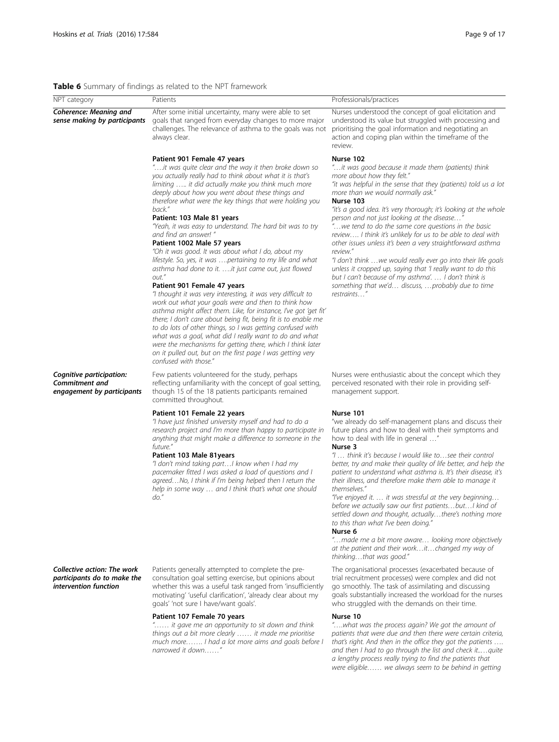# <span id="page-8-0"></span>Table 6 Summary of findings as related to the NPT framework

| NPT category                                                                               | Patients                                                                                                                                                                                                                                                                                                                                                                                                                                                                                                                                                                                                                                                                                                                                                                                                                                                                                                                                                                                                                                                                                                                                                                                                                                       | Professionals/practices                                                                                                                                                                                                                                                                                                                                                                                                                                                                                                                                                                                                                                                                                                                                                                                                                 |  |  |
|--------------------------------------------------------------------------------------------|------------------------------------------------------------------------------------------------------------------------------------------------------------------------------------------------------------------------------------------------------------------------------------------------------------------------------------------------------------------------------------------------------------------------------------------------------------------------------------------------------------------------------------------------------------------------------------------------------------------------------------------------------------------------------------------------------------------------------------------------------------------------------------------------------------------------------------------------------------------------------------------------------------------------------------------------------------------------------------------------------------------------------------------------------------------------------------------------------------------------------------------------------------------------------------------------------------------------------------------------|-----------------------------------------------------------------------------------------------------------------------------------------------------------------------------------------------------------------------------------------------------------------------------------------------------------------------------------------------------------------------------------------------------------------------------------------------------------------------------------------------------------------------------------------------------------------------------------------------------------------------------------------------------------------------------------------------------------------------------------------------------------------------------------------------------------------------------------------|--|--|
| <b>Coherence: Meaning and</b><br>sense making by participants                              | After some initial uncertainty, many were able to set<br>goals that ranged from everyday changes to more major<br>challenges. The relevance of asthma to the goals was not<br>always clear.                                                                                                                                                                                                                                                                                                                                                                                                                                                                                                                                                                                                                                                                                                                                                                                                                                                                                                                                                                                                                                                    | Nurses understood the concept of goal elicitation and<br>understood its value but struggled with processing and<br>prioritising the goal information and negotiating an<br>action and coping plan within the timeframe of the<br>review.                                                                                                                                                                                                                                                                                                                                                                                                                                                                                                                                                                                                |  |  |
|                                                                                            | Patient 901 Female 47 years<br>"it was quite clear and the way it then broke down so<br>you actually really had to think about what it is that's<br>limiting  it did actually make you think much more<br>deeply about how you went about these things and<br>therefore what were the key things that were holding you<br>back."<br>Patient: 103 Male 81 years<br>"Yeah, it was easy to understand. The hard bit was to try<br>and find an answer!"<br>Patient 1002 Male 57 years<br>"Oh it was good. It was about what I do, about my<br>lifestyle. So, yes, it was  pertaining to my life and what<br>asthma had done to it. it just came out, just flowed<br>out."<br>Patient 901 Female 47 years<br>"I thought it was very interesting, it was very difficult to<br>work out what your goals were and then to think how<br>asthma might affect them. Like, for instance, I've got 'get fit'<br>there; I don't care about being fit, being fit is to enable me<br>to do lots of other things, so I was getting confused with<br>what was a goal, what did I really want to do and what<br>were the mechanisms for getting there, which I think later<br>on it pulled out, but on the first page I was getting very<br>confused with those." | Nurse 102<br>"it was good because it made them (patients) think<br>more about how they felt."<br>"it was helpful in the sense that they (patients) told us a lot<br>more than we would normally ask."<br>Nurse 103<br>"it's a good idea. It's very thorough; it's looking at the whole<br>person and not just looking at the disease<br>" we tend to do the same core questions in the basic<br>review I think it's unlikely for us to be able to deal with<br>other issues unless it's been a very straightforward asthma<br>review."<br>"I don't think  we would really ever go into their life goals<br>unless it cropped up, saying that 'I really want to do this<br>but I can't because of my asthma' I don't think is<br>something that we'd discuss, probably due to time<br>restraints"                                        |  |  |
| Cognitive participation:<br><b>Commitment and</b><br>engagement by participants            | Few patients volunteered for the study, perhaps<br>reflecting unfamiliarity with the concept of goal setting,<br>though 15 of the 18 patients participants remained<br>committed throughout.                                                                                                                                                                                                                                                                                                                                                                                                                                                                                                                                                                                                                                                                                                                                                                                                                                                                                                                                                                                                                                                   | Nurses were enthusiastic about the concept which they<br>perceived resonated with their role in providing self-<br>management support.                                                                                                                                                                                                                                                                                                                                                                                                                                                                                                                                                                                                                                                                                                  |  |  |
|                                                                                            | Patient 101 Female 22 years<br>"I have just finished university myself and had to do a<br>research project and I'm more than happy to participate in<br>anything that might make a difference to someone in the<br>future."<br>Patient 103 Male 81years<br>"I don't mind taking partI know when I had my<br>pacemaker fitted I was asked a load of questions and I<br>agreedNo, I think if I'm being helped then I return the<br>help in some way  and I think that's what one should<br>do."                                                                                                                                                                                                                                                                                                                                                                                                                                                                                                                                                                                                                                                                                                                                                  | Nurse 101<br>"we already do self-management plans and discuss their<br>future plans and how to deal with their symptoms and<br>how to deal with life in general "<br>Nurse 3<br>"I think it's because I would like tosee their control<br>better, try and make their quality of life better, and help the<br>patient to understand what asthma is. It's their disease, it's<br>their illness, and therefore make them able to manage it<br>themselves."<br>"I've enjoyed it. $\ldots$ it was stressful at the very beginning<br>before we actually saw our first patientsbut I kind of<br>settled down and thought, actuallythere's nothing more<br>to this than what I've been doing."<br>Nurse 6<br>"made me a bit more aware looking more objectively<br>at the patient and their workitchanged my way of<br>thinkingthat was good." |  |  |
| <b>Collective action: The work</b><br>participants do to make the<br>intervention function | Patients generally attempted to complete the pre-<br>consultation goal setting exercise, but opinions about<br>whether this was a useful task ranged from 'insufficiently<br>motivating' 'useful clarification', 'already clear about my<br>goals' 'not sure I have/want goals'.                                                                                                                                                                                                                                                                                                                                                                                                                                                                                                                                                                                                                                                                                                                                                                                                                                                                                                                                                               | The organisational processes (exacerbated because of<br>trial recruitment processes) were complex and did not<br>go smoothly. The task of assimilating and discussing<br>goals substantially increased the workload for the nurses<br>who struggled with the demands on their time.                                                                                                                                                                                                                                                                                                                                                                                                                                                                                                                                                     |  |  |
|                                                                                            | Patient 107 Female 70 years<br>" it gave me an opportunity to sit down and think<br>things out a bit more clearly it made me prioritise                                                                                                                                                                                                                                                                                                                                                                                                                                                                                                                                                                                                                                                                                                                                                                                                                                                                                                                                                                                                                                                                                                        | Nurse 10<br>"what was the process again? We got the amount of<br>patients that were due and then there were certain criteria                                                                                                                                                                                                                                                                                                                                                                                                                                                                                                                                                                                                                                                                                                            |  |  |

things out a bit more clearly …… it made me prioritise much more....... I had a lot more aims and goals before i narrowed it down......"

patients that were due and then there were certain criteria, that's right. And then in the office they got the patients …. and then I had to go through the list and check it..…quite a lengthy process really trying to find the patients that were eligible…… we always seem to be behind in getting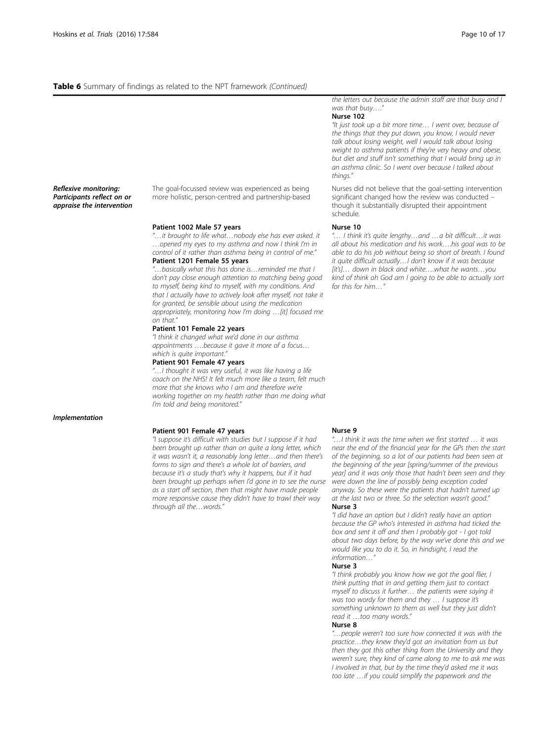# Table 6 Summary of findings as related to the NPT framework (Continued)

Reflexive monitoring: Participants reflect on or appraise the intervention The goal-focussed review was experienced as being more holistic, person-centred and partnership-based

### Patient 1002 Male 57 years

"…it brought to life what…nobody else has ever asked. it …opened my eyes to my asthma and now I think I'm in control of it rather than asthma being in control of me."

# Patient 1201 Female 55 years

"…basically what this has done is…reminded me that I don't pay close enough attention to matching being good to myself, being kind to myself, with my conditions. And that I actually have to actively look after myself, not take it for granted, be sensible about using the medication appropriately, monitoring how I'm doing …[it] focused me on that."

### Patient 101 Female 22 years

"I think it changed what we'd done in our asthma appointments ….because it gave it more of a focus… which is quite important."

#### Patient 901 Female 47 years

"…I thought it was very useful, it was like having a life coach on the NHS! It felt much more like a team, felt much more that she knows who I am and therefore we're working together on my health rather than me doing what I'm told and being monitored."

#### Implementation

# Patient 901 Female 47 years

"I suppose it's difficult with studies but I suppose if it had been brought up rather than on quite a long letter, which it was wasn't it, a reasonably long letter…and then there's forms to sign and there's a whole lot of barriers, and because it's a study that's why it happens, but if it had been brought up perhaps when I'd gone in to see the nurse as a start off section, then that might have made people more responsive cause they didn't have to trawl their way through all the…words."

the letters out because the admin staff are that busy and I was that busy...."

# Nurse 102

"It just took up a bit more time… I went over, because of the things that they put down, you know, I would never talk about losing weight, well I would talk about losing weight to asthma patients if they're very heavy and obese, but diet and stuff isn't something that I would bring up in an asthma clinic. So I went over because I talked about things."

Nurses did not believe that the goal-setting intervention significant changed how the review was conducted – though it substantially disrupted their appointment schedule.

#### Nurse 10

... I think it's quite lengthy...and ...a bit difficult...it was all about his medication and his work….his goal was to be able to do his job without being so short of breath. I found it quite difficult actually…I don't know if it was because [it's]… down in black and white….what he wants…you kind of think oh God am I going to be able to actually sort for this for him...

#### Nurse 9

"…I think it was the time when we first started … it was near the end of the financial year for the GPs then the start of the beginning, so a lot of our patients had been seen at the beginning of the year [spring/summer of the previous yearl and it was only those that hadn't been seen and they were down the line of possibly being exception coded anyway. So these were the patients that hadn't turned up at the last two or three. So the selection wasn't good."

### Nurse 3

"I did have an option but I didn't really have an option because the GP who's interested in asthma had ticked the box and sent it off and then I probably got - I got told about two days before, by the way we've done this and we would like you to do it. So, in hindsight, I read the information…"

#### Nurse 3

"I think probably you know how we got the goal flier, I think putting that in and getting them just to contact myself to discuss it further… the patients were saying it was too wordy for them and they … I suppose it's something unknown to them as well but they just didn't read it …too many words."

### Nurse 8

"…people weren't too sure how connected it was with the practice…they knew they'd got an invitation from us but then they got this other thing from the University and they weren't sure, they kind of came along to me to ask me was I involved in that, but by the time they'd asked me it was too late …if you could simplify the paperwork and the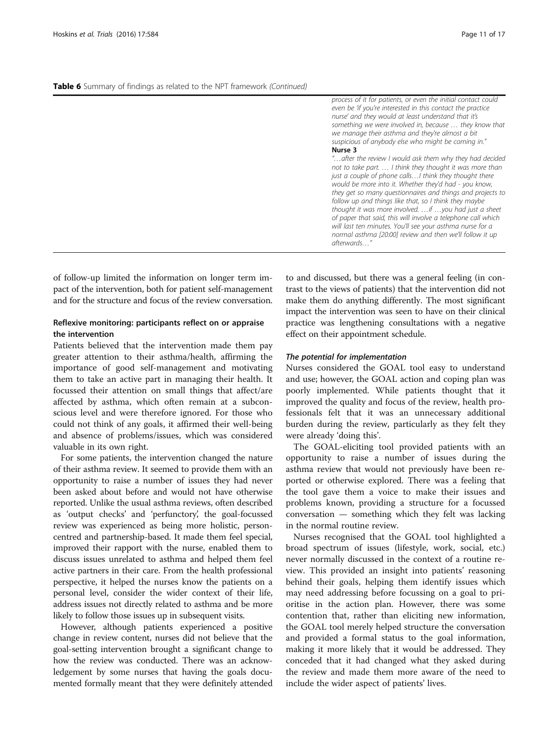process of it for patients, or even the initial contact could even be 'if you're interested in this contact the practice nurse' and they would at least understand that it's something we were involved in, because … they know that we manage their asthma and they're almost a bit suspicious of anybody else who might be coming in." Nurse 3 "…after the review I would ask them why they had decided

not to take part. … I think they thought it was more than just a couple of phone calls...I think they thought there would be more into it. Whether they'd had - you know, they get so many questionnaires and things and projects to follow up and things like that, so I think they maybe thought it was more involved. …if …you had just a sheet of paper that said, this will involve a telephone call which will last ten minutes. You'll see your asthma nurse for a normal asthma [20:00] review and then we'll follow it up afterwards…"

of follow-up limited the information on longer term impact of the intervention, both for patient self-management and for the structure and focus of the review conversation.

# Reflexive monitoring: participants reflect on or appraise the intervention

Patients believed that the intervention made them pay greater attention to their asthma/health, affirming the importance of good self-management and motivating them to take an active part in managing their health. It focussed their attention on small things that affect/are affected by asthma, which often remain at a subconscious level and were therefore ignored. For those who could not think of any goals, it affirmed their well-being and absence of problems/issues, which was considered valuable in its own right.

For some patients, the intervention changed the nature of their asthma review. It seemed to provide them with an opportunity to raise a number of issues they had never been asked about before and would not have otherwise reported. Unlike the usual asthma reviews, often described as 'output checks' and 'perfunctory', the goal-focussed review was experienced as being more holistic, personcentred and partnership-based. It made them feel special, improved their rapport with the nurse, enabled them to discuss issues unrelated to asthma and helped them feel active partners in their care. From the health professional perspective, it helped the nurses know the patients on a personal level, consider the wider context of their life, address issues not directly related to asthma and be more likely to follow those issues up in subsequent visits.

However, although patients experienced a positive change in review content, nurses did not believe that the goal-setting intervention brought a significant change to how the review was conducted. There was an acknowledgement by some nurses that having the goals documented formally meant that they were definitely attended to and discussed, but there was a general feeling (in contrast to the views of patients) that the intervention did not make them do anything differently. The most significant impact the intervention was seen to have on their clinical practice was lengthening consultations with a negative effect on their appointment schedule.

# The potential for implementation

Nurses considered the GOAL tool easy to understand and use; however, the GOAL action and coping plan was poorly implemented. While patients thought that it improved the quality and focus of the review, health professionals felt that it was an unnecessary additional burden during the review, particularly as they felt they were already 'doing this'.

The GOAL-eliciting tool provided patients with an opportunity to raise a number of issues during the asthma review that would not previously have been reported or otherwise explored. There was a feeling that the tool gave them a voice to make their issues and problems known, providing a structure for a focussed conversation — something which they felt was lacking in the normal routine review.

Nurses recognised that the GOAL tool highlighted a broad spectrum of issues (lifestyle, work, social, etc.) never normally discussed in the context of a routine review. This provided an insight into patients' reasoning behind their goals, helping them identify issues which may need addressing before focussing on a goal to prioritise in the action plan. However, there was some contention that, rather than eliciting new information, the GOAL tool merely helped structure the conversation and provided a formal status to the goal information, making it more likely that it would be addressed. They conceded that it had changed what they asked during the review and made them more aware of the need to include the wider aspect of patients' lives.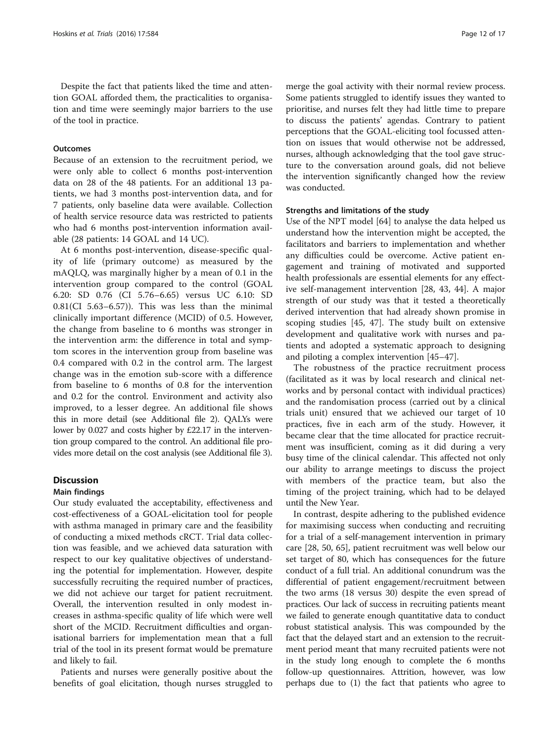Despite the fact that patients liked the time and attention GOAL afforded them, the practicalities to organisation and time were seemingly major barriers to the use of the tool in practice.

# **Outcomes**

Because of an extension to the recruitment period, we were only able to collect 6 months post-intervention data on 28 of the 48 patients. For an additional 13 patients, we had 3 months post-intervention data, and for 7 patients, only baseline data were available. Collection of health service resource data was restricted to patients who had 6 months post-intervention information available (28 patients: 14 GOAL and 14 UC).

At 6 months post-intervention, disease-specific quality of life (primary outcome) as measured by the mAQLQ, was marginally higher by a mean of 0.1 in the intervention group compared to the control (GOAL 6.20: SD 0.76 (CI 5.76–6.65) versus UC 6.10: SD 0.81(CI 5.63–6.57)). This was less than the minimal clinically important difference (MCID) of 0.5. However, the change from baseline to 6 months was stronger in the intervention arm: the difference in total and symptom scores in the intervention group from baseline was 0.4 compared with 0.2 in the control arm. The largest change was in the emotion sub-score with a difference from baseline to 6 months of 0.8 for the intervention and 0.2 for the control. Environment and activity also improved, to a lesser degree. An additional file shows this in more detail (see Additional file [2\)](#page-13-0). QALYs were lower by 0.027 and costs higher by £22.17 in the intervention group compared to the control. An additional file provides more detail on the cost analysis (see Additional file [3](#page-13-0)).

# **Discussion**

# Main findings

Our study evaluated the acceptability, effectiveness and cost-effectiveness of a GOAL-elicitation tool for people with asthma managed in primary care and the feasibility of conducting a mixed methods cRCT. Trial data collection was feasible, and we achieved data saturation with respect to our key qualitative objectives of understanding the potential for implementation. However, despite successfully recruiting the required number of practices, we did not achieve our target for patient recruitment. Overall, the intervention resulted in only modest increases in asthma-specific quality of life which were well short of the MCID. Recruitment difficulties and organisational barriers for implementation mean that a full trial of the tool in its present format would be premature and likely to fail.

Patients and nurses were generally positive about the benefits of goal elicitation, though nurses struggled to

merge the goal activity with their normal review process. Some patients struggled to identify issues they wanted to prioritise, and nurses felt they had little time to prepare to discuss the patients' agendas. Contrary to patient perceptions that the GOAL-eliciting tool focussed attention on issues that would otherwise not be addressed, nurses, although acknowledging that the tool gave structure to the conversation around goals, did not believe the intervention significantly changed how the review was conducted.

### Strengths and limitations of the study

Use of the NPT model [[64\]](#page-16-0) to analyse the data helped us understand how the intervention might be accepted, the facilitators and barriers to implementation and whether any difficulties could be overcome. Active patient engagement and training of motivated and supported health professionals are essential elements for any effective self-management intervention [[28, 43, 44](#page-15-0)]. A major strength of our study was that it tested a theoretically derived intervention that had already shown promise in scoping studies [\[45, 47\]](#page-15-0). The study built on extensive development and qualitative work with nurses and patients and adopted a systematic approach to designing and piloting a complex intervention [\[45](#page-15-0)–[47\]](#page-15-0).

The robustness of the practice recruitment process (facilitated as it was by local research and clinical networks and by personal contact with individual practices) and the randomisation process (carried out by a clinical trials unit) ensured that we achieved our target of 10 practices, five in each arm of the study. However, it became clear that the time allocated for practice recruitment was insufficient, coming as it did during a very busy time of the clinical calendar. This affected not only our ability to arrange meetings to discuss the project with members of the practice team, but also the timing of the project training, which had to be delayed until the New Year.

In contrast, despite adhering to the published evidence for maximising success when conducting and recruiting for a trial of a self-management intervention in primary care [[28, 50,](#page-15-0) [65\]](#page-16-0), patient recruitment was well below our set target of 80, which has consequences for the future conduct of a full trial. An additional conundrum was the differential of patient engagement/recruitment between the two arms (18 versus 30) despite the even spread of practices. Our lack of success in recruiting patients meant we failed to generate enough quantitative data to conduct robust statistical analysis. This was compounded by the fact that the delayed start and an extension to the recruitment period meant that many recruited patients were not in the study long enough to complete the 6 months follow-up questionnaires. Attrition, however, was low perhaps due to (1) the fact that patients who agree to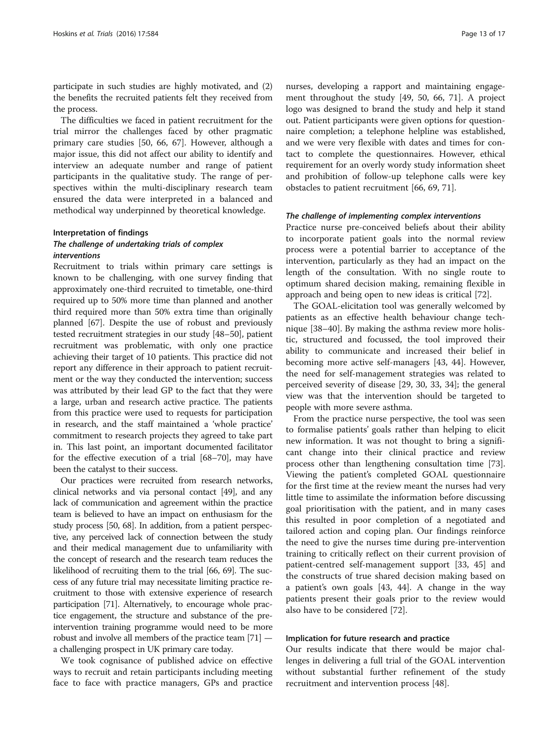participate in such studies are highly motivated, and (2) the benefits the recruited patients felt they received from the process.

The difficulties we faced in patient recruitment for the trial mirror the challenges faced by other pragmatic primary care studies [[50](#page-15-0), [66, 67](#page-16-0)]. However, although a major issue, this did not affect our ability to identify and interview an adequate number and range of patient participants in the qualitative study. The range of perspectives within the multi-disciplinary research team ensured the data were interpreted in a balanced and methodical way underpinned by theoretical knowledge.

# Interpretation of findings The challenge of undertaking trials of complex interventions

Recruitment to trials within primary care settings is known to be challenging, with one survey finding that approximately one-third recruited to timetable, one-third required up to 50% more time than planned and another third required more than 50% extra time than originally planned [[67](#page-16-0)]. Despite the use of robust and previously tested recruitment strategies in our study [\[48](#page-15-0)–[50\]](#page-15-0), patient recruitment was problematic, with only one practice achieving their target of 10 patients. This practice did not report any difference in their approach to patient recruitment or the way they conducted the intervention; success was attributed by their lead GP to the fact that they were a large, urban and research active practice. The patients from this practice were used to requests for participation in research, and the staff maintained a 'whole practice' commitment to research projects they agreed to take part in. This last point, an important documented facilitator for the effective execution of a trial [\[68](#page-16-0)–[70](#page-16-0)], may have been the catalyst to their success.

Our practices were recruited from research networks, clinical networks and via personal contact [\[49\]](#page-15-0), and any lack of communication and agreement within the practice team is believed to have an impact on enthusiasm for the study process [\[50,](#page-15-0) [68](#page-16-0)]. In addition, from a patient perspective, any perceived lack of connection between the study and their medical management due to unfamiliarity with the concept of research and the research team reduces the likelihood of recruiting them to the trial [[66](#page-16-0), [69\]](#page-16-0). The success of any future trial may necessitate limiting practice recruitment to those with extensive experience of research participation [\[71](#page-16-0)]. Alternatively, to encourage whole practice engagement, the structure and substance of the preintervention training programme would need to be more robust and involve all members of the practice team [\[71\]](#page-16-0) a challenging prospect in UK primary care today.

We took cognisance of published advice on effective ways to recruit and retain participants including meeting face to face with practice managers, GPs and practice

nurses, developing a rapport and maintaining engagement throughout the study [[49, 50](#page-15-0), [66, 71](#page-16-0)]. A project logo was designed to brand the study and help it stand out. Patient participants were given options for questionnaire completion; a telephone helpline was established, and we were very flexible with dates and times for contact to complete the questionnaires. However, ethical requirement for an overly wordy study information sheet and prohibition of follow-up telephone calls were key obstacles to patient recruitment [\[66](#page-16-0), [69](#page-16-0), [71](#page-16-0)].

# The challenge of implementing complex interventions

Practice nurse pre-conceived beliefs about their ability to incorporate patient goals into the normal review process were a potential barrier to acceptance of the intervention, particularly as they had an impact on the length of the consultation. With no single route to optimum shared decision making, remaining flexible in approach and being open to new ideas is critical [[72\]](#page-16-0).

The GOAL-elicitation tool was generally welcomed by patients as an effective health behaviour change technique [[38](#page-15-0)–[40](#page-15-0)]. By making the asthma review more holistic, structured and focussed, the tool improved their ability to communicate and increased their belief in becoming more active self-managers [\[43](#page-15-0), [44](#page-15-0)]. However, the need for self-management strategies was related to perceived severity of disease [[29, 30](#page-15-0), [33, 34](#page-15-0)]; the general view was that the intervention should be targeted to people with more severe asthma.

From the practice nurse perspective, the tool was seen to formalise patients' goals rather than helping to elicit new information. It was not thought to bring a significant change into their clinical practice and review process other than lengthening consultation time [\[73](#page-16-0)]. Viewing the patient's completed GOAL questionnaire for the first time at the review meant the nurses had very little time to assimilate the information before discussing goal prioritisation with the patient, and in many cases this resulted in poor completion of a negotiated and tailored action and coping plan. Our findings reinforce the need to give the nurses time during pre-intervention training to critically reflect on their current provision of patient-centred self-management support [[33, 45\]](#page-15-0) and the constructs of true shared decision making based on a patient's own goals [[43, 44](#page-15-0)]. A change in the way patients present their goals prior to the review would also have to be considered [\[72\]](#page-16-0).

# Implication for future research and practice

Our results indicate that there would be major challenges in delivering a full trial of the GOAL intervention without substantial further refinement of the study recruitment and intervention process [[48](#page-15-0)].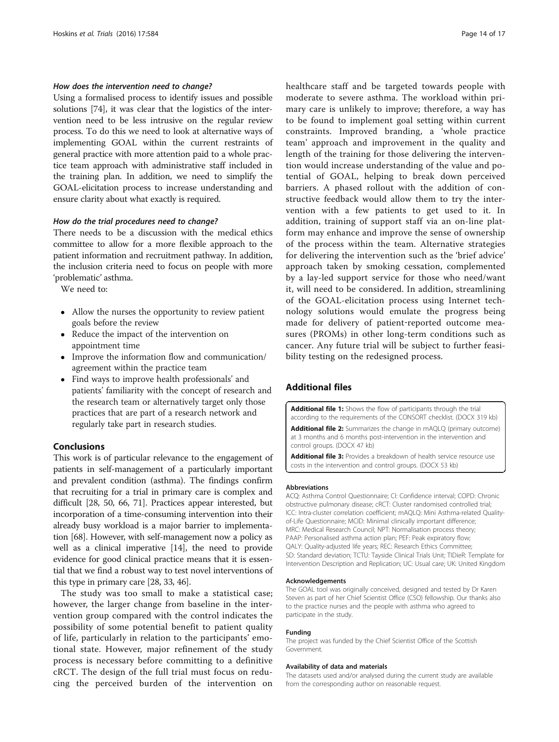# <span id="page-13-0"></span>How does the intervention need to change?

Using a formalised process to identify issues and possible solutions [[74](#page-16-0)], it was clear that the logistics of the intervention need to be less intrusive on the regular review process. To do this we need to look at alternative ways of implementing GOAL within the current restraints of general practice with more attention paid to a whole practice team approach with administrative staff included in the training plan. In addition, we need to simplify the GOAL-elicitation process to increase understanding and ensure clarity about what exactly is required.

# How do the trial procedures need to change?

There needs to be a discussion with the medical ethics committee to allow for a more flexible approach to the patient information and recruitment pathway. In addition, the inclusion criteria need to focus on people with more 'problematic' asthma.

We need to:

- Allow the nurses the opportunity to review patient goals before the review
- Reduce the impact of the intervention on appointment time
- Improve the information flow and communication/ agreement within the practice team
- Find ways to improve health professionals' and patients' familiarity with the concept of research and the research team or alternatively target only those practices that are part of a research network and regularly take part in research studies.

# Conclusions

This work is of particular relevance to the engagement of patients in self-management of a particularly important and prevalent condition (asthma). The findings confirm that recruiting for a trial in primary care is complex and difficult [[28](#page-15-0), [50](#page-15-0), [66, 71\]](#page-16-0). Practices appear interested, but incorporation of a time-consuming intervention into their already busy workload is a major barrier to implementation [[68](#page-16-0)]. However, with self-management now a policy as well as a clinical imperative [[14](#page-15-0)], the need to provide evidence for good clinical practice means that it is essential that we find a robust way to test novel interventions of this type in primary care [\[28, 33](#page-15-0), [46](#page-15-0)].

The study was too small to make a statistical case; however, the larger change from baseline in the intervention group compared with the control indicates the possibility of some potential benefit to patient quality of life, particularly in relation to the participants' emotional state. However, major refinement of the study process is necessary before committing to a definitive cRCT. The design of the full trial must focus on reducing the perceived burden of the intervention on

healthcare staff and be targeted towards people with moderate to severe asthma. The workload within primary care is unlikely to improve; therefore, a way has to be found to implement goal setting within current constraints. Improved branding, a 'whole practice team' approach and improvement in the quality and length of the training for those delivering the intervention would increase understanding of the value and potential of GOAL, helping to break down perceived barriers. A phased rollout with the addition of constructive feedback would allow them to try the intervention with a few patients to get used to it. In addition, training of support staff via an on-line platform may enhance and improve the sense of ownership of the process within the team. Alternative strategies for delivering the intervention such as the 'brief advice' approach taken by smoking cessation, complemented by a lay-led support service for those who need/want it, will need to be considered. In addition, streamlining of the GOAL-elicitation process using Internet technology solutions would emulate the progress being made for delivery of patient‐reported outcome measures (PROMs) in other long-term conditions such as cancer. Any future trial will be subject to further feasibility testing on the redesigned process.

# Additional files

[Additional file 1:](dx.doi.org/10.1186/s13063-016-1684-7) Shows the flow of participants through the trial according to the requirements of the CONSORT checklist. (DOCX 319 kb)

[Additional file 2:](dx.doi.org/10.1186/s13063-016-1684-7) Summarizes the change in mAQLQ (primary outcome) at 3 months and 6 months post-intervention in the intervention and control groups. (DOCX 47 kb)

[Additional file 3:](dx.doi.org/10.1186/s13063-016-1684-7) Provides a breakdown of health service resource use costs in the intervention and control groups. (DOCX 53 kb)

#### Abbreviations

ACQ: Asthma Control Questionnaire; CI: Confidence interval; COPD: Chronic obstructive pulmonary disease; cRCT: Cluster randomised controlled trial; ICC: Intra-cluster correlation coefficient; mAQLQ: Mini Asthma-related Qualityof-Life Questionnaire; MCID: Minimal clinically important difference; MRC: Medical Research Council; NPT: Normalisation process theory; PAAP: Personalised asthma action plan; PEF: Peak expiratory flow; QALY: Quality-adjusted life years; REC: Research Ethics Committee; SD: Standard deviation; TCTU: Tayside Clinical Trials Unit; TIDieR: Template for Intervention Description and Replication; UC: Usual care; UK: United Kingdom

#### Acknowledgements

The GOAL tool was originally conceived, designed and tested by Dr Karen Steven as part of her Chief Scientist Office (CSO) fellowship. Our thanks also to the practice nurses and the people with asthma who agreed to participate in the study.

#### Funding

The project was funded by the Chief Scientist Office of the Scottish Government.

#### Availability of data and materials

The datasets used and/or analysed during the current study are available from the corresponding author on reasonable request.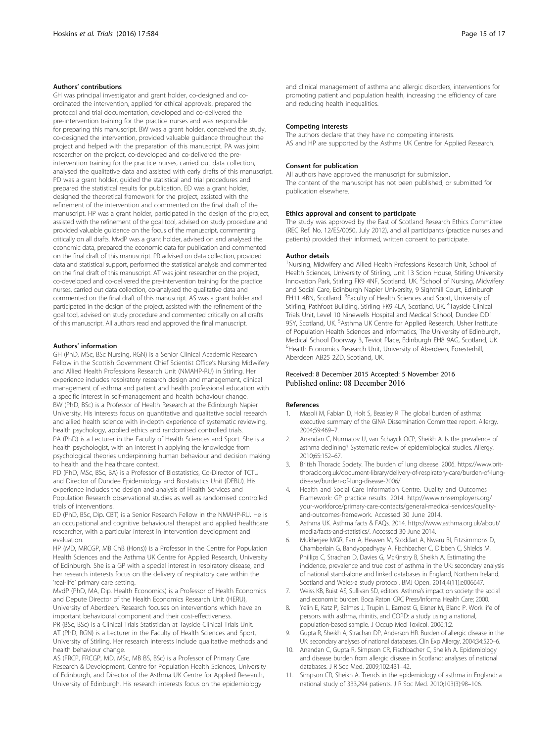### <span id="page-14-0"></span>Authors' contributions

GH was principal investigator and grant holder, co-designed and coordinated the intervention, applied for ethical approvals, prepared the protocol and trial documentation, developed and co-delivered the pre-intervention training for the practice nurses and was responsible for preparing this manuscript. BW was a grant holder, conceived the study, co-designed the intervention, provided valuable guidance throughout the project and helped with the preparation of this manuscript. PA was joint researcher on the project, co-developed and co-delivered the preintervention training for the practice nurses, carried out data collection, analysed the qualitative data and assisted with early drafts of this manuscript. PD was a grant holder, guided the statistical and trial procedures and prepared the statistical results for publication. ED was a grant holder, designed the theoretical framework for the project, assisted with the refinement of the intervention and commented on the final draft of the manuscript. HP was a grant holder, participated in the design of the project, assisted with the refinement of the goal tool, advised on study procedure and provided valuable guidance on the focus of the manuscript, commenting critically on all drafts. MvdP was a grant holder, advised on and analysed the economic data, prepared the economic data for publication and commented on the final draft of this manuscript. PR advised on data collection, provided data and statistical support, performed the statistical analysis and commented on the final draft of this manuscript. AT was joint researcher on the project, co-developed and co-delivered the pre-intervention training for the practice nurses, carried out data collection, co-analysed the qualitative data and commented on the final draft of this manuscript. AS was a grant holder and participated in the design of the project, assisted with the refinement of the goal tool, advised on study procedure and commented critically on all drafts of this manuscript. All authors read and approved the final manuscript.

#### Authors' information

GH (PhD, MSc, BSc Nursing, RGN) is a Senior Clinical Academic Research Fellow in the Scottish Government Chief Scientist Office's Nursing Midwifery and Allied Health Professions Research Unit (NMAHP-RU) in Stirling. Her experience includes respiratory research design and management, clinical management of asthma and patient and health professional education with a specific interest in self-management and health behaviour change. BW (PhD, BSc) is a Professor of Health Research at the Edinburgh Napier University. His interests focus on quantitative and qualitative social research and allied health science with in-depth experience of systematic reviewing, health psychology, applied ethics and randomised controlled trials. PA (PhD) is a Lecturer in the Faculty of Health Sciences and Sport. She is a health psychologist, with an interest in applying the knowledge from psychological theories underpinning human behaviour and decision making to health and the healthcare context.

PD (PhD, MSc, BSc, BA) is a Professor of Biostatistics, Co-Director of TCTU and Director of Dundee Epidemiology and Biostatistics Unit (DEBU). His experience includes the design and analysis of Health Services and Population Research observational studies as well as randomised controlled trials of interventions.

ED (PhD, BSc, Dip. CBT) is a Senior Research Fellow in the NMAHP-RU. He is an occupational and cognitive behavioural therapist and applied healthcare researcher, with a particular interest in intervention development and evaluation.

HP (MD, MRCGP, MB ChB (Hons)) is a Professor in the Centre for Population Health Sciences and the Asthma UK Centre for Applied Research, University of Edinburgh. She is a GP with a special interest in respiratory disease, and her research interests focus on the delivery of respiratory care within the 'real-life' primary care setting.

MvdP (PhD, MA, Dip. Health Economics) is a Professor of Health Economics and Depute Director of the Health Economics Research Unit (HERU),

University of Aberdeen. Research focuses on interventions which have an important behavioural component and their cost-effectiveness. PR (BSc, BSc) is a Clinical Trials Statistician at Tayside Clinical Trials Unit. AT (PhD, RGN) is a Lecturer in the Faculty of Health Sciences and Sport,

University of Stirling. Her research interests include qualitative methods and health behaviour change. AS (FRCP, FRCGP, MD, MSc, MB BS, BSc) is a Professor of Primary Care

Research & Development, Centre for Population Health Sciences, University of Edinburgh, and Director of the Asthma UK Centre for Applied Research, University of Edinburgh. His research interests focus on the epidemiology

and clinical management of asthma and allergic disorders, interventions for promoting patient and population health, increasing the efficiency of care and reducing health inequalities.

# Competing interests

The authors declare that they have no competing interests. AS and HP are supported by the Asthma UK Centre for Applied Research.

#### Consent for publication

All authors have approved the manuscript for submission. The content of the manuscript has not been published, or submitted for publication elsewhere.

#### Ethics approval and consent to participate

The study was approved by the East of Scotland Research Ethics Committee (REC Ref. No. 12/ES/0050, July 2012), and all participants (practice nurses and patients) provided their informed, written consent to participate.

### Author details

<sup>1</sup>Nursing, Midwifery and Allied Health Professions Research Unit, School of Health Sciences, University of Stirling, Unit 13 Scion House, Stirling University Innovation Park, Stirling FK9 4NF, Scotland, UK. <sup>2</sup>School of Nursing, Midwifery and Social Care, Edinburgh Napier University, 9 Sighthill Court, Edinburgh EH11 4BN, Scotland. <sup>3</sup>Faculty of Health Sciences and Sport, University of Stirling, Pathfoot Building, Stirling FK9 4LA, Scotland, UK. <sup>4</sup>Tayside Clinical Trials Unit, Level 10 Ninewells Hospital and Medical School, Dundee DD1 9SY, Scotland, UK. <sup>5</sup> Asthma UK Centre for Applied Research, Usher Institute of Population Health Sciences and Informatics, The University of Edinburgh, Medical School Doorway 3, Teviot Place, Edinburgh EH8 9AG, Scotland, UK. 6 Health Economics Research Unit, University of Aberdeen, Foresterhill, Aberdeen AB25 2ZD, Scotland, UK.

# Received: 8 December 2015 Accepted: 5 November 2016 Published online: 08 December 2016

#### References

- Masoli M, Fabian D, Holt S, Beasley R. The global burden of asthma: executive summary of the GINA Dissemination Committee report. Allergy. 2004;59:469–7.
- 2. Anandan C, Nurmatov U, van Schayck OCP, Sheikh A. Is the prevalence of asthma declining? Systematic review of epidemiological studies. Allergy. 2010;65:152–67.
- 3. British Thoracic Society. The burden of lung disease. 2006. [https://www.brit](https://www.brit-thoracic.org.uk/document-library/delivery-of-respiratory-care/burden-of-lung-disease/burden-of-lung-disease-2006/)[thoracic.org.uk/document-library/delivery-of-respiratory-care/burden-of-lung](https://www.brit-thoracic.org.uk/document-library/delivery-of-respiratory-care/burden-of-lung-disease/burden-of-lung-disease-2006/)[disease/burden-of-lung-disease-2006/.](https://www.brit-thoracic.org.uk/document-library/delivery-of-respiratory-care/burden-of-lung-disease/burden-of-lung-disease-2006/)
- 4. Health and Social Care Information Centre. Quality and Outcomes Framework: GP practice results. 2014. [http://www.nhsemployers.org/](http://www.nhsemployers.org/your-workforce/primary-care-contacts/general-medical-services/quality-and-outcomes-framework) [your-workforce/primary-care-contacts/general-medical-services/quality](http://www.nhsemployers.org/your-workforce/primary-care-contacts/general-medical-services/quality-and-outcomes-framework)[and-outcomes-framework](http://www.nhsemployers.org/your-workforce/primary-care-contacts/general-medical-services/quality-and-outcomes-framework). Accessed 30 June 2014.
- 5. Asthma UK. Asthma facts & FAQs. 2014. [https://www.asthma.org.uk/about/](https://www.asthma.org.uk/about/media/facts-and-statistics/) [media/facts-and-statistics/.](https://www.asthma.org.uk/about/media/facts-and-statistics/) Accessed 30 June 2014.
- 6. Mukherjee MGR, Farr A, Heaven M, Stoddart A, Nwaru BI, Fitzsimmons D, Chamberlain G, Bandyopadhyay A, Fischbacher C, Dibben C, Shields M, Phillips C, Strachan D, Davies G, McKinstry B, Sheikh A. Estimating the incidence, prevalence and true cost of asthma in the UK: secondary analysis of national stand-alone and linked databases in England, Northern Ireland, Scotland and Wales-a study protocol. BMJ Open. 2014;4(11):e006647.
- 7. Weiss KB, Buist AS, Sullivan SD, editors. Asthma's impact on society: the social and economic burden. Boca Raton: CRC Press/Informa Health Care; 2000.
- Yelin E, Katz P, Balmes J, Trupin L, Earnest G, Eisner M, Blanc P. Work life of persons with asthma, rhinitis, and COPD: a study using a national, population-based sample. J Occup Med Toxicol. 2006;1:2.
- 9. Gupta R, Sheikh A, Strachan DP, Anderson HR. Burden of allergic disease in the UK: secondary analyses of national databases. Clin Exp Allergy. 2004;34:520–6.
- 10. Anandan C, Gupta R, Simpson CR, Fischbacher C, Sheikh A. Epidemiology and disease burden from allergic disease in Scotland: analyses of national databases. J R Soc Med. 2009;102:431–42.
- 11. Simpson CR, Sheikh A. Trends in the epidemiology of asthma in England: a national study of 333,294 patients. J R Soc Med. 2010;103(3):98–106.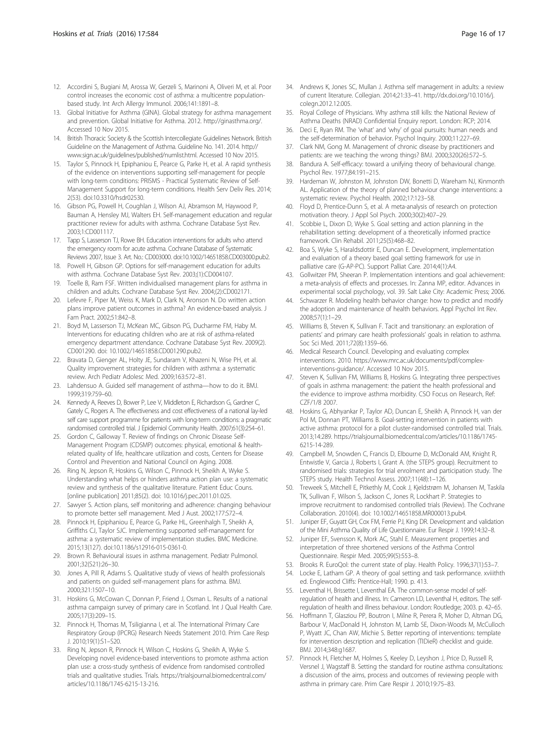- <span id="page-15-0"></span>12. Accordini S, Bugiani M, Arossa W, Gerzeli S, Marinoni A, Oliveri M, et al. Poor control increases the economic cost of asthma: a multicentre populationbased study. Int Arch Allergy Immunol. 2006;141:1891–8.
- 13. Global Initiative for Asthma (GINA). Global strategy for asthma management and prevention. Global Initiative for Asthma. 2012.<http://ginasthma.org/>. Accessed 10 Nov 2015.
- 14. British Thoracic Society & the Scottish Intercollegiate Guidelines Network. British Guideline on the Management of Asthma. Guideline No. 141. 2014. [http://](http://www.sign.ac.uk/guidelines/published/numlist.html) [www.sign.ac.uk/guidelines/published/numlist.html](http://www.sign.ac.uk/guidelines/published/numlist.html). Accessed 10 Nov 2015.
- 15. Taylor S, Pinnock H, Epiphaniou E, Pearce G, Parke H, et al. A rapid synthesis of the evidence on interventions supporting self-management for people with long-term conditions: PRISMS - Practical Systematic Review of Self-Management Support for long-term conditions. Health Serv Deliv Res. 2014; 2(53). doi[:10.3310/hsdr02530.](http://dx.doi.org/10.3310/hsdr02530)
- 16. Gibson PG, Powell H, Coughlan J, Wilson AJ, Abramson M, Haywood P, Bauman A, Hensley MJ, Walters EH. Self-management education and regular practitioner review for adults with asthma. Cochrane Database Syst Rev. 2003;1:CD001117.
- 17. Tapp S, Lasserson TJ, Rowe BH. Education interventions for adults who attend the emergency room for acute asthma. Cochrane Database of Systematic Reviews 2007, Issue 3. Art. No.: CD003000. doi[:10.1002/14651858.CD003000.pub2](http://dx.doi.org/10.1002/14651858.CD003000.pub2).
- 18. Powell H, Gibson GP. Options for self-management education for adults with asthma. Cochrane Database Syst Rev. 2003;(1):CD004107.
- 19. Toelle B, Ram FSF. Written individualised management plans for asthma in children and adults. Cochrane Database Syst Rev. 2004;(2):CD002171.
- 20. Lefevre F, Piper M, Weiss K, Mark D, Clark N, Aronson N. Do written action plans improve patient outcomes in asthma? An evidence-based analysis. J Fam Pract. 2002;51:842–8.
- 21. Boyd M, Lasserson TJ, McKean MC, Gibson PG, Ducharme FM, Haby M. Interventions for educating children who are at risk of asthma-related emergency department attendance. Cochrane Database Syst Rev. 2009(2). CD001290. doi: [10.1002/14651858.CD001290.pub2](http://dx.doi.org/10.1002/14651858.CD001290.pub2).
- 22. Bravata D, Gienger AL, Holty JE, Sundaram V, Khazeni N, Wise PH, et al. Quality improvement strategies for children with asthma: a systematic review. Arch Pediatr Adolesc Med. 2009;163:572–81.
- 23. Lahdensuo A. Guided self management of asthma—how to do it. BMJ. 1999;319:759–60.
- 24. Kennedy A, Reeves D, Bower P, Lee V, Middleton E, Richardson G, Gardner C, Gately C, Rogers A. The effectiveness and cost effectiveness of a national lay-led self care support programme for patients with long-term conditions: a pragmatic randomised controlled trial. J Epidemiol Community Health. 2007;61(3):254–61.
- 25. Gordon C, Galloway T. Review of findings on Chronic Disease Self-Management Program (CDSMP) outcomes: physical, emotional & healthrelated quality of life, healthcare utilization and costs, Centers for Disease Control and Prevention and National Council on Aging. 2008.
- 26. Ring N, Jepson R, Hoskins G, Wilson C, Pinnock H, Sheikh A, Wyke S. Understanding what helps or hinders asthma action plan use: a systematic review and synthesis of the qualitative literature. Patient Educ Couns. [online publication] 2011;85(2). doi: [10.1016/j.pec.2011.01.025](http://dx.doi.org/10.1016/j.pec.2011.01.025).
- 27. Sawyer S. Action plans, self monitoring and adherence: changing behaviour to promote better self management. Med J Aust. 2002;177:S72–4.
- 28. Pinnock H, Epiphaniou E, Pearce G, Parke HL, Greenhalgh T, Sheikh A, Griffiths CJ, Taylor SJC. Implementing supported self-management for asthma: a systematic review of implementation studies. BMC Medicine. 2015;13(127). doi:[10.1186/s12916-015-0361-0](http://dx.doi.org/10.1186/s12916-015-0361-0).
- 29. Brown R. Behavioural issues in asthma management. Pediatr Pulmonol. 2001;32(S21):26–30.
- 30. Jones A, Pill R, Adams S. Qualitative study of views of health professionals and patients on guided self-management plans for asthma. BMJ. 2000;321:1507–10.
- 31. Hoskins G, McCowan C, Donnan P, Friend J, Osman L. Results of a national asthma campaign survey of primary care in Scotland. Int J Qual Health Care. 2005;17(3):209–15.
- 32. Pinnock H, Thomas M, Tsiligianna I, et al. The International Primary Care Respiratory Group (IPCRG) Research Needs Statement 2010. Prim Care Resp J. 2010;19(1):S1–S20.
- 33. Ring N, Jepson R, Pinnock H, Wilson C, Hoskins G, Sheikh A, Wyke S. Developing novel evidence-based interventions to promote asthma action plan use: a cross-study synthesis of evidence from randomised controlled trials and qualitative studies. Trials. [https://trialsjournal.biomedcentral.com/](https://trialsjournal.biomedcentral.com/articles/10.1186/1745-6215-13-216) [articles/10.1186/1745-6215-13-216](https://trialsjournal.biomedcentral.com/articles/10.1186/1745-6215-13-216).
- 34. Andrews K, Jones SC, Mullan J. Asthma self management in adults: a review of current literature. Collegian. 2014;21:33–41. [http://dx.doi.org/10.1016/j.](http://dx.doi.org/10.1016/j.colegn.2012.12.005) [colegn.2012.12.005](http://dx.doi.org/10.1016/j.colegn.2012.12.005).
- 35. Royal College of Physicians. Why asthma still kills: the National Review of Asthma Deaths (NRAD) Confidential Enquiry report. London: RCP; 2014.
- 36. Deci E, Ryan RM. The 'what' and 'why' of goal pursuits: human needs and the self-determination of behavior. Psychol Inquiry. 2000;11:227–69.
- 37. Clark NM, Gong M. Management of chronic disease by practitioners and patients: are we teaching the wrong things? BMJ. 2000;320(26):572–5.
- 38. Bandura A. Self-efficacy: toward a unifying theory of behavioural change. Psychol Rev. 1977;84:191–215.
- 39. Hardeman W, Johnston M, Johnston DW, Bonetti D, Wareham NJ, Kinmonth AL. Application of the theory of planned behaviour change interventions: a systematic review. Psychol Health. 2002;17:123–58.
- 40. Floyd D, Prentice-Dunn S, et al. A meta-analysis of research on protection motivation theory. J Appl Sol Psych. 2000;30(2):407–29.
- 41. Scobbie L, Dixon D, Wyke S. Goal setting and action planning in the rehabilitation setting: development of a theoretically informed practice framework. Clin Rehabil. 2011;25(5):468–82.
- 42. Boa S, Wyke S, Haraldsdottir E, Duncan E. Development, implementation and evaluation of a theory based goal setting framework for use in palliative care (G-AP-PC). Support Palliat Care. 2014;4(1):A4.
- 43. Gollwitzer PM, Sheeran P. Implementation intentions and goal achievement: a meta-analysis of effects and processes. In: Zanna MP, editor. Advances in experimental social psychology, vol. 39. Salt Lake City: Academic Press; 2006.
- 44. Schwarzer R. Modeling health behavior change: how to predict and modify the adoption and maintenance of health behaviors. Appl Psychol Int Rev. 2008;57(1):1–29.
- 45. Williams B, Steven K, Sullivan F. Tacit and transitionary: an exploration of patients' and primary care health professionals' goals in relation to asthma. Soc Sci Med. 2011;72(8):1359–66.
- 46. Medical Research Council. Developing and evaluating complex interventions. 2010. [https://www.mrc.ac.uk/documents/pdf/complex](https://www.mrc.ac.uk/documents/pdf/complex-interventions-guidance/)[interventions-guidance/.](https://www.mrc.ac.uk/documents/pdf/complex-interventions-guidance/) Accessed 10 Nov 2015.
- 47. Steven K, Sullivan FM, Williams B, Hoskins G. Integrating three perspectives of goals in asthma management: the patient the health professional and the evidence to improve asthma morbidity. CSO Focus on Research, Ref: CZF/1/8 2007.
- 48. Hoskins G, Abhyankar P, Taylor AD, Duncan E, Sheikh A, Pinnock H, van der Pol M, Donnan PT, Williams B. Goal-setting intervention in patients with active asthma: protocol for a pilot cluster-randomised controlled trial. Trials. 2013;14:289. [https://trialsjournal.biomedcentral.com/articles/10.1186/1745-](https://trialsjournal.biomedcentral.com/articles/10.1186/1745-6215-14-289) [6215-14-289.](https://trialsjournal.biomedcentral.com/articles/10.1186/1745-6215-14-289)
- 49. Campbell M, Snowden C, Francis D, Elbourne D, McDonald AM, Knight R, Entwistle V, Garcia J, Roberts I, Grant A. (the STEPS group). Recruitment to randomised trials: strategies for trial enrolment and participation study. The STEPS study. Health Technol Assess. 2007;11(48):1–126.
- 50. Treweek S, Mitchell E, Pitkethly M, Cook J, Kjeldstrøm M, Johansen M, Taskila TK, Sullivan F, Wilson S, Jackson C, Jones R, Lockhart P. Strategies to improve recruitment to randomised controlled trials (Review). The Cochrane Collaboration. 2010(4). doi: [10.1002/14651858.MR000013.pub4.](http://dx.doi.org/10.1002/14651858.MR000013.pub4)
- 51. Juniper EF, Guyatt GH, Cox FM, Ferrie PJ, King DR. Development and validation of the Mini Asthma Quality of Life Questionnaire. Eur Respir J. 1999;14:32–8.
- 52. Juniper EF, Svensson K, Mork AC, Stahl E. Measurement properties and interpretation of three shortened versions of the Asthma Control Questionnaire. Respir Med. 2005;99(5):553–8.
- 53. Brooks R. EuroQol: the current state of play. Health Policy. 1996;37(1):53–7.
- 54. Locke E, Latham GP. A theory of goal setting and task performance. xviiithth ed. Englewood Cliffs: Prentice-Hall; 1990. p. 413.
- 55. Leventhal H, Brissette I, Leventhal EA. The common-sense model of selfregulation of health and illness. In: Cameron LD, Leventhal H, editors. The selfregulation of health and illness behaviour. London: Routledge; 2003. p. 42–65.
- 56. Hoffmann T, Glasziou PP, Boutron I, Milne R, Perera R, Moher D, Altman DG, Barbour V, MacDonald H, Johnston M, Lamb SE, Dixon-Woods M, McCulloch P, Wyatt JC, Chan AW, Michie S. Better reporting of interventions: template for intervention description and replication (TIDieR) checklist and guide. BMJ. 2014;348:g1687.
- 57. Pinnock H, Fletcher M, Holmes S, Keeley D, Leyshon J, Price D, Russell R, Versnel J, Wagstaff B. Setting the standard for routine asthma consultations: a discussion of the aims, process and outcomes of reviewing people with asthma in primary care. Prim Care Respir J. 2010;19:75–83.